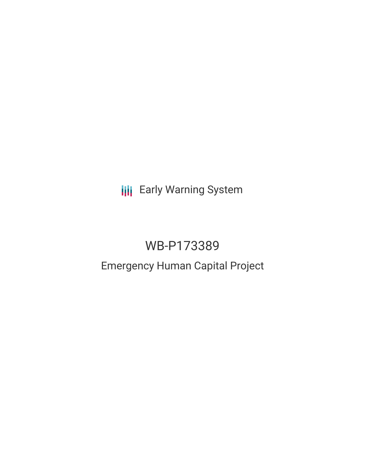**III** Early Warning System

# WB-P173389

# Emergency Human Capital Project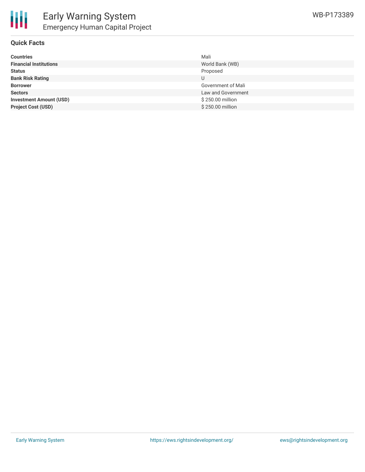

#### **Quick Facts**

| <b>Countries</b>               | Mali               |
|--------------------------------|--------------------|
| <b>Financial Institutions</b>  | World Bank (WB)    |
| <b>Status</b>                  | Proposed           |
| <b>Bank Risk Rating</b>        |                    |
| <b>Borrower</b>                | Government of Mali |
| <b>Sectors</b>                 | Law and Government |
| <b>Investment Amount (USD)</b> | \$250.00 million   |
| <b>Project Cost (USD)</b>      | \$250.00 million   |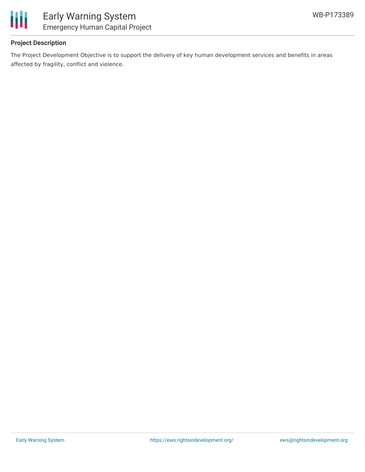

## **Project Description**

The Project Development Objective is to support the delivery of key human development services and benefits in areas affected by fragility, conflict and violence.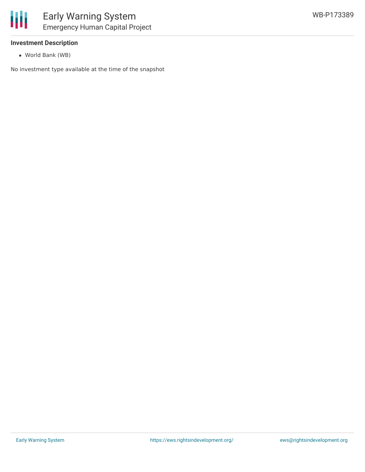

#### **Investment Description**

World Bank (WB)

No investment type available at the time of the snapshot